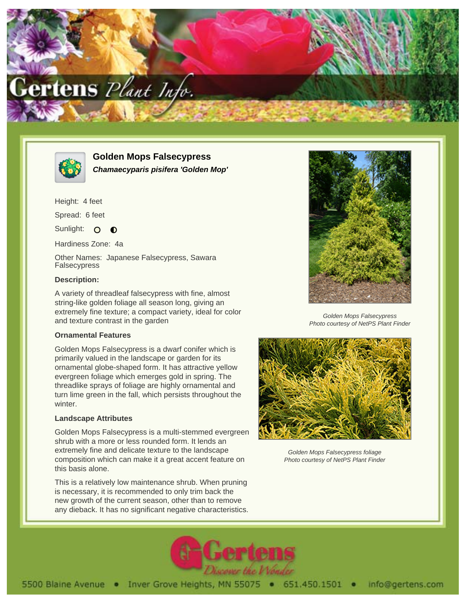



**Golden Mops Falsecypress Chamaecyparis pisifera 'Golden Mop'**

Height: 4 feet

Spread: 6 feet

Sunlight: O  $\bullet$ 

Hardiness Zone: 4a

Other Names: Japanese Falsecypress, Sawara Falsecypress

### **Description:**

A variety of threadleaf falsecypress with fine, almost string-like golden foliage all season long, giving an extremely fine texture; a compact variety, ideal for color and texture contrast in the garden

#### **Ornamental Features**

Golden Mops Falsecypress is a dwarf conifer which is primarily valued in the landscape or garden for its ornamental globe-shaped form. It has attractive yellow evergreen foliage which emerges gold in spring. The threadlike sprays of foliage are highly ornamental and turn lime green in the fall, which persists throughout the winter.

#### **Landscape Attributes**

Golden Mops Falsecypress is a multi-stemmed evergreen shrub with a more or less rounded form. It lends an extremely fine and delicate texture to the landscape composition which can make it a great accent feature on this basis alone.

This is a relatively low maintenance shrub. When pruning is necessary, it is recommended to only trim back the new growth of the current season, other than to remove any dieback. It has no significant negative characteristics.



Golden Mops Falsecypress Photo courtesy of NetPS Plant Finder



Golden Mops Falsecypress foliage Photo courtesy of NetPS Plant Finder